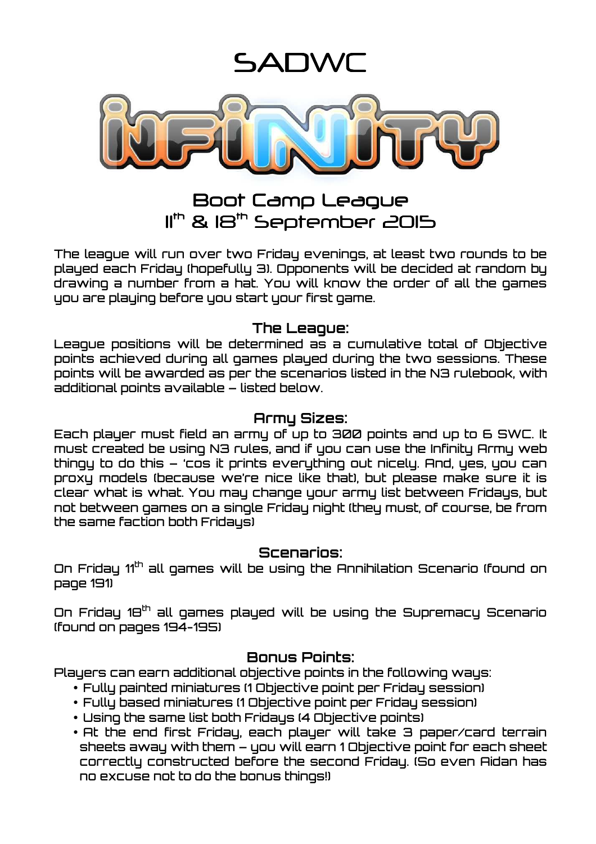SANWI



# Boot Camp League 11<sup>th</sup> & 18<sup>th</sup> September 2015

The league will run over two Friday evenings, at least two rounds to be played each Friday (hopefully 3). Opponents will be decided at random by drawing a number from a hat. You will know the order of all the games you are playing before you start your first game.

#### **The League:**

League positions will be determined as a cumulative total of Objective points achieved during all games played during the two sessions. These points will be awarded as per the scenarios listed in the N3 rulebook, with additional points available – listed below.

#### **Army Sizes:**

Each player must field an army of up to 300 points and up to 6 SWC. It must created be using N3 rules, and if you can use the Infinity Army web thingy to do this – 'cos it prints everything out nicely. And, yes, you can proxy models (because we're nice like that), but please make sure it is clear what is what. You may change your army list between Fridays, but not between games on a single Friday night (they must, of course, be from the same faction both Fridays)

#### **Scenarios:**

On Friday 11<sup>th</sup> all games will be using the Annihilation Scenario (found on page 191)

On Friday 18<sup>th</sup> all games played will be using the Supremacy Scenario (found on pages 194-195)

## **Bonus Points:**

Players can earn additional objective points in the following ways:

- Fully painted miniatures (1 Objective point per Friday session)
- Fully based miniatures (1 Objective point per Friday session)
- Using the same list both Fridays (4 Objective points)
- At the end first Friday, each player will take 3 paper/card terrain sheets away with them – you will earn 1 Objective point for each sheet correctly constructed before the second Friday. (So even Aidan has no excuse not to do the bonus things!)